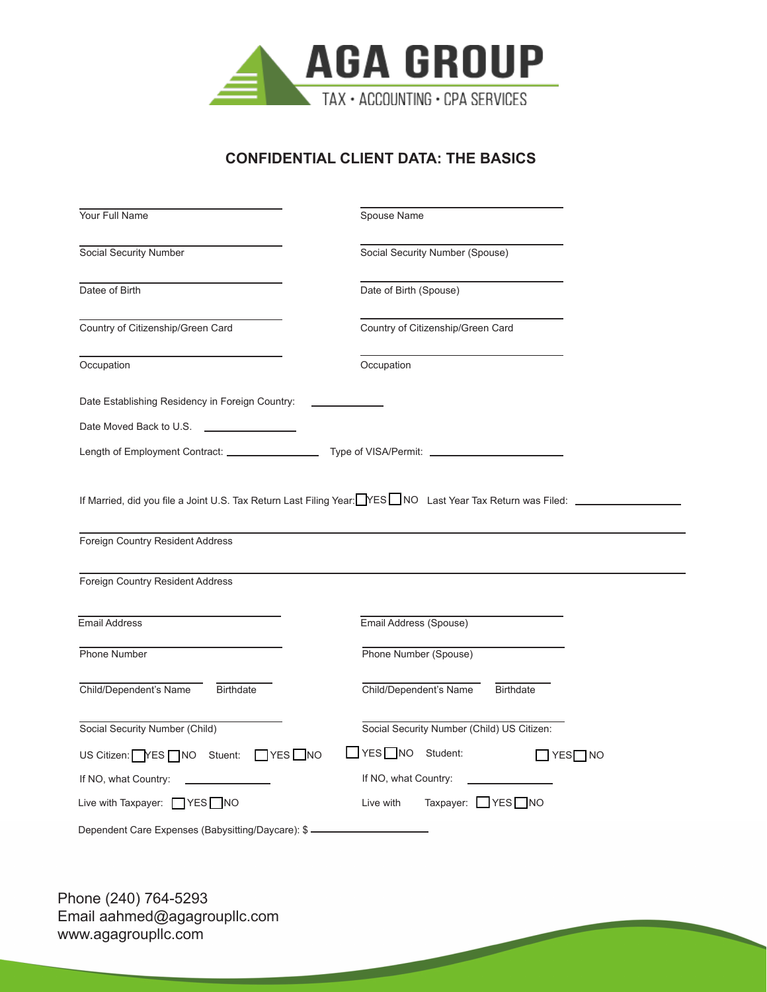

### **CONFIDENTIAL CLIENT DATA: THE BASICS**

| Your Full Name                                                       | Spouse Name                                |
|----------------------------------------------------------------------|--------------------------------------------|
| Social Security Number                                               | Social Security Number (Spouse)            |
| Datee of Birth                                                       | Date of Birth (Spouse)                     |
| Country of Citizenship/Green Card                                    | Country of Citizenship/Green Card          |
| Occupation                                                           | Occupation                                 |
| Date Establishing Residency in Foreign Country:                      |                                            |
| Date Moved Back to U.S.<br>the control of the control of the         |                                            |
|                                                                      |                                            |
| Foreign Country Resident Address<br>Foreign Country Resident Address |                                            |
| <b>Email Address</b>                                                 | Email Address (Spouse)                     |
| Phone Number                                                         | Phone Number (Spouse)                      |
| Child/Dependent's Name<br><b>Birthdate</b>                           | Child/Dependent's Name<br><b>Birthdate</b> |
| Social Security Number (Child)                                       | Social Security Number (Child) US Citizen: |
| US Citizen: YES   NO Stuent: YES   NO                                | YES NO Student:<br>$\Box$ YES $\Box$ NO    |
| If NO, what Country:                                                 | If NO, what Country:                       |
| Live with Taxpayer: TYES NO                                          | Taxpayer: YES NO<br>Live with              |
| Dependent Care Expenses (Babysitting/Daycare): \$-                   |                                            |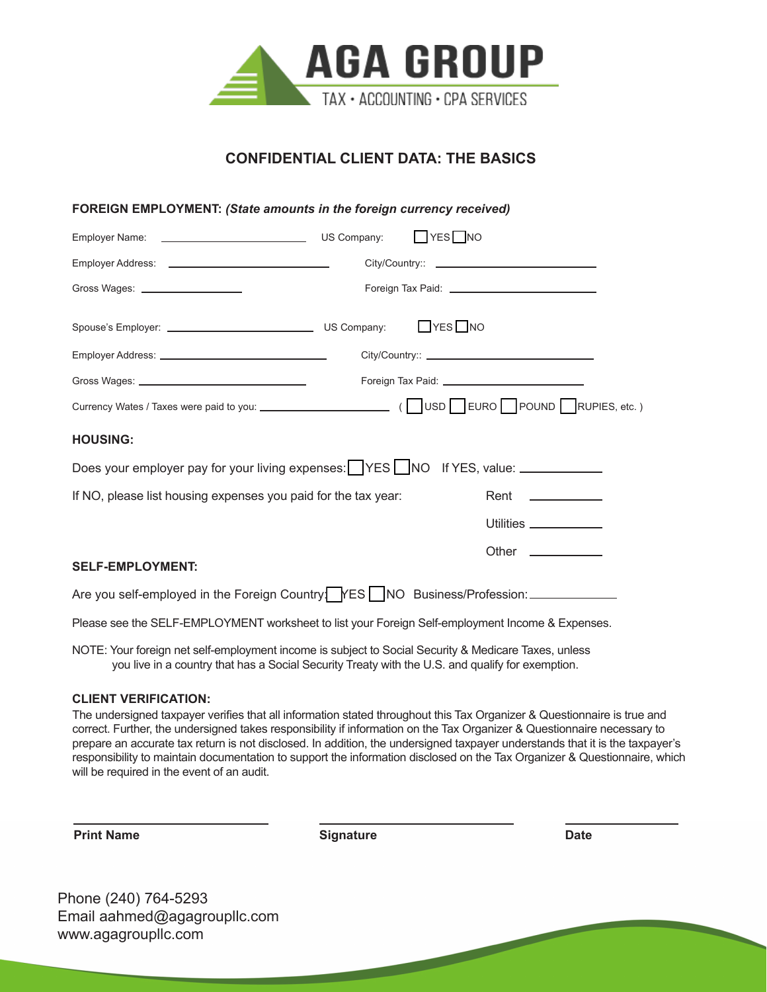

#### **CONFIDENTIAL CLIENT DATA: THE BASICS**

| <b>FOREIGN EMPLOYMENT: (State amounts in the foreign currency received)</b>                      |                       |
|--------------------------------------------------------------------------------------------------|-----------------------|
|                                                                                                  | $\Box$ YES $\Box$ NO  |
|                                                                                                  |                       |
| Gross Wages: ____________________                                                                |                       |
|                                                                                                  | $\Box$ YES $\Box$ NO  |
|                                                                                                  |                       |
|                                                                                                  |                       |
|                                                                                                  |                       |
| <b>HOUSING:</b>                                                                                  |                       |
| Does your employer pay for your living expenses: YES NO If YES, value: _________                 |                       |
| If NO, please list housing expenses you paid for the tax year:                                   | Rent ____________     |
|                                                                                                  | Utilities ___________ |
|                                                                                                  | Other _____________   |
| <b>SELF-EMPLOYMENT:</b>                                                                          |                       |
| Are you self-employed in the Foreign Country   YES   NO Business/Profession: ___________         |                       |
| Please see the SELF-EMPLOYMENT worksheet to list your Foreign Self-employment Income & Expenses. |                       |
|                                                                                                  |                       |

NOTE: Your foreign net self-employment income is subject to Social Security & Medicare Taxes, unless you live in a country that has a Social Security Treaty with the U.S. and qualify for exemption.

#### **CLIENT VERIFICATION:**

The undersigned taxpayer verifies that all information stated throughout this Tax Organizer & Questionnaire is true and correct. Further, the undersigned takes responsibility if information on the Tax Organizer & Questionnaire necessary to prepare an accurate tax return is not disclosed. In addition, the undersigned taxpayer understands that it is the taxpayer's responsibility to maintain documentation to support the information disclosed on the Tax Organizer & Questionnaire, which will be required in the event of an audit.

**Print Name Date Contract Contract Contract Contract Contract Contract Contract Contract Contract Contract Contract Contract Contract Contract Contract Contract Contract Contract Contract Contract Contract Contract Con**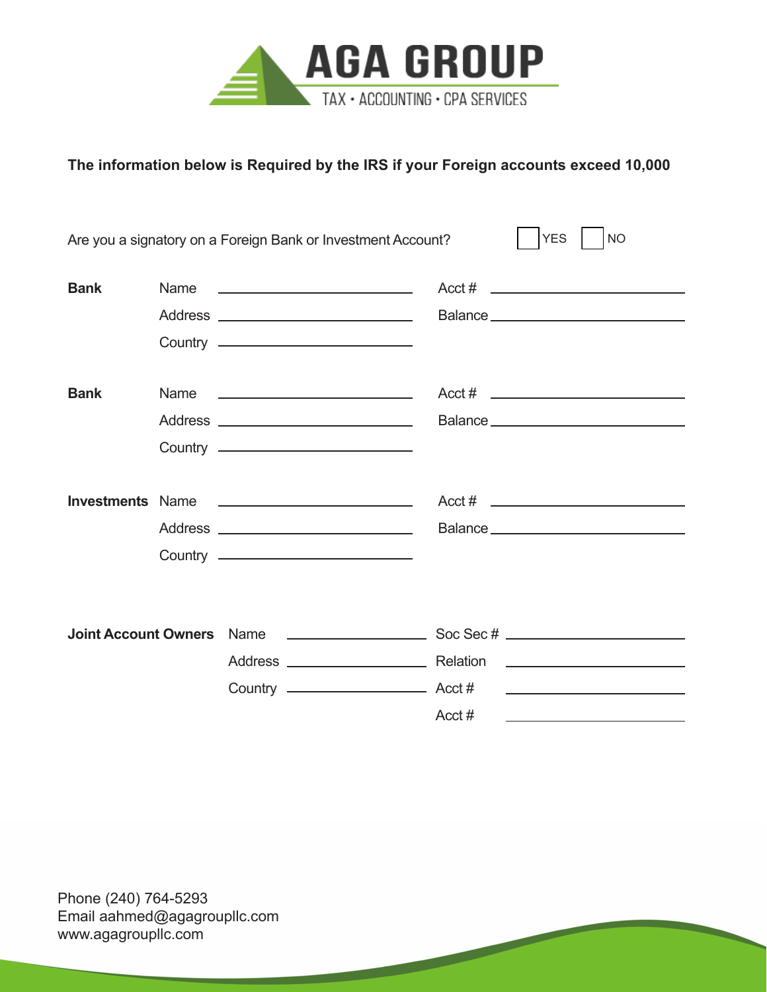

### **The information below is Required by the IRS if your Foreign accounts exceed 10,000**

|             |      | Are you a signatory on a Foreign Bank or Investment Account? | <b>YES</b><br><b>NO</b> |
|-------------|------|--------------------------------------------------------------|-------------------------|
| <b>Bank</b> | Name | <u> 1986 - Johann Stoff, Amerikaansk politiker (</u>         |                         |
|             |      |                                                              |                         |
| <b>Bank</b> |      |                                                              |                         |
|             |      |                                                              |                         |
|             |      | Country <u>____________________________</u>                  |                         |
|             |      |                                                              |                         |
|             |      |                                                              |                         |
|             |      | Country ———————————————                                      |                         |
|             |      |                                                              |                         |
|             |      |                                                              |                         |
|             |      |                                                              |                         |
|             |      |                                                              | $Acct \#$               |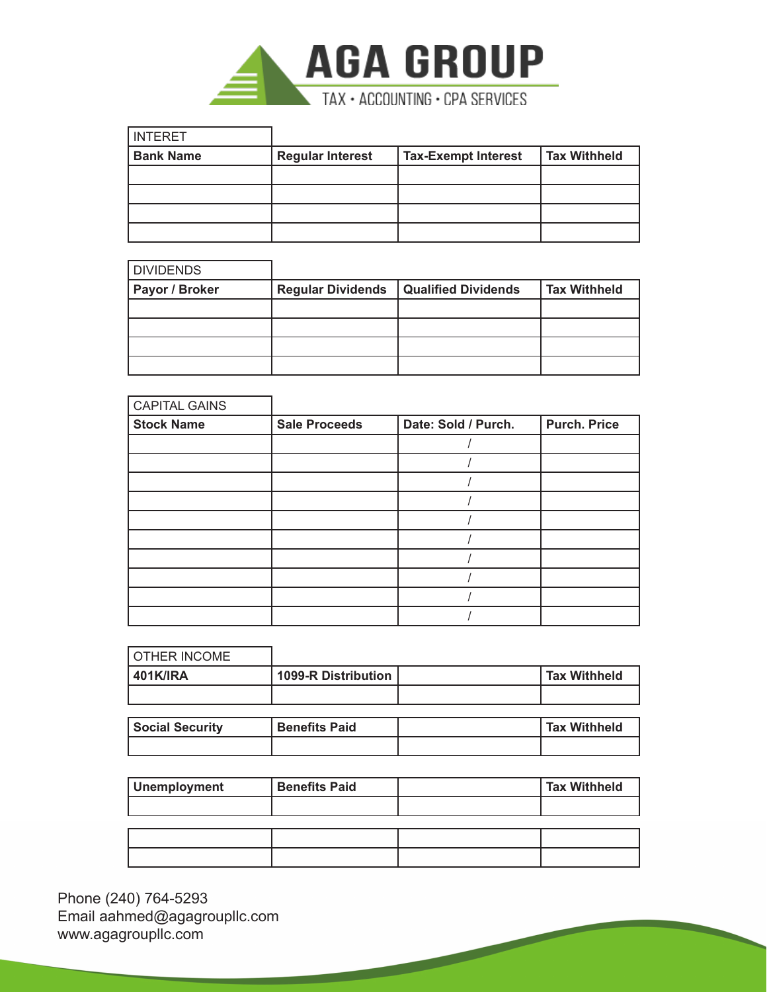

| INTERET          |                         |                            |                     |
|------------------|-------------------------|----------------------------|---------------------|
| <b>Bank Name</b> | <b>Regular Interest</b> | <b>Tax-Exempt Interest</b> | <b>Tax Withheld</b> |
|                  |                         |                            |                     |
|                  |                         |                            |                     |
|                  |                         |                            |                     |
|                  |                         |                            |                     |

| <b>DIVIDENDS</b> |                          |                            |                     |
|------------------|--------------------------|----------------------------|---------------------|
| Payor / Broker   | <b>Regular Dividends</b> | <b>Qualified Dividends</b> | <b>Tax Withheld</b> |
|                  |                          |                            |                     |
|                  |                          |                            |                     |
|                  |                          |                            |                     |
|                  |                          |                            |                     |

| <b>CAPITAL GAINS</b> |                      |                     |                     |
|----------------------|----------------------|---------------------|---------------------|
| <b>Stock Name</b>    | <b>Sale Proceeds</b> | Date: Sold / Purch. | <b>Purch. Price</b> |
|                      |                      |                     |                     |
|                      |                      |                     |                     |
|                      |                      |                     |                     |
|                      |                      |                     |                     |
|                      |                      |                     |                     |
|                      |                      |                     |                     |
|                      |                      |                     |                     |
|                      |                      |                     |                     |
|                      |                      |                     |                     |
|                      |                      |                     |                     |

| <b>OTHER INCOME</b>    |                            |                     |
|------------------------|----------------------------|---------------------|
| <b>401K/IRA</b>        | <b>1099-R Distribution</b> | <b>Tax Withheld</b> |
|                        |                            |                     |
|                        |                            |                     |
| <b>Social Security</b> | <b>Benefits Paid</b>       | <b>Tax Withheld</b> |
|                        |                            |                     |

| <b>Unemployment</b> | <b>Benefits Paid</b> | Tax Withheld |
|---------------------|----------------------|--------------|
|                     |                      |              |
|                     |                      |              |
|                     |                      |              |
|                     |                      |              |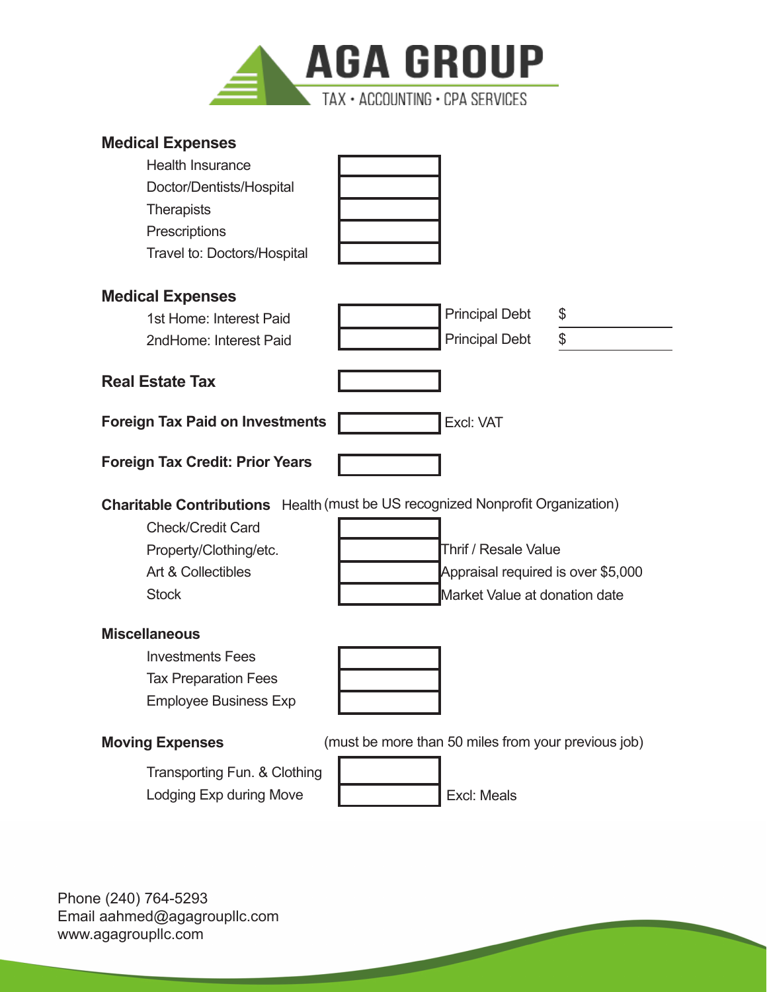

### **Medical Expenses**

| <b>Health Insurance</b>                                                               |                                                     |    |
|---------------------------------------------------------------------------------------|-----------------------------------------------------|----|
| Doctor/Dentists/Hospital                                                              |                                                     |    |
| <b>Therapists</b>                                                                     |                                                     |    |
| Prescriptions                                                                         |                                                     |    |
| Travel to: Doctors/Hospital                                                           |                                                     |    |
| <b>Medical Expenses</b>                                                               |                                                     |    |
| 1st Home: Interest Paid                                                               | <b>Principal Debt</b>                               | \$ |
| 2ndHome: Interest Paid                                                                | <b>Principal Debt</b>                               | \$ |
| <b>Real Estate Tax</b>                                                                |                                                     |    |
| <b>Foreign Tax Paid on Investments</b>                                                | Excl: VAT                                           |    |
| <b>Foreign Tax Credit: Prior Years</b>                                                |                                                     |    |
|                                                                                       |                                                     |    |
| <b>Charitable Contributions</b> Health (must be US recognized Nonprofit Organization) |                                                     |    |
| <b>Check/Credit Card</b>                                                              |                                                     |    |
| Property/Clothing/etc.                                                                | Thrif / Resale Value                                |    |
| Art & Collectibles                                                                    | Appraisal required is over \$5,000                  |    |
| <b>Stock</b>                                                                          | Market Value at donation date                       |    |
| <b>Miscellaneous</b>                                                                  |                                                     |    |
| <b>Investments Fees</b>                                                               |                                                     |    |
| <b>Tax Preparation Fees</b>                                                           |                                                     |    |
| <b>Employee Business Exp</b>                                                          |                                                     |    |
| <b>Moving Expenses</b>                                                                | (must be more than 50 miles from your previous job) |    |
| Transporting Fun. & Clothing                                                          |                                                     |    |